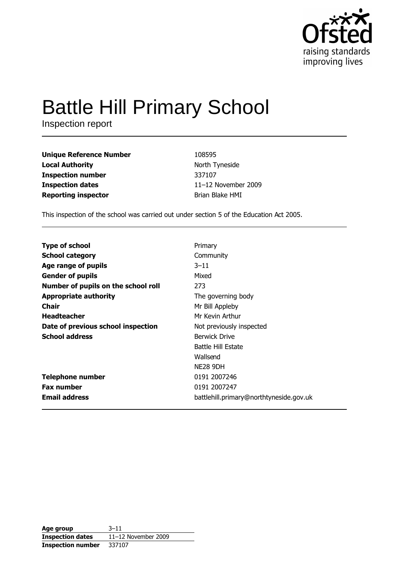

# **Battle Hill Primary School**

Inspection report

| <b>Unique Reference Number</b> | 108595              |
|--------------------------------|---------------------|
| <b>Local Authority</b>         | North Tyneside      |
| <b>Inspection number</b>       | 337107              |
| <b>Inspection dates</b>        | 11-12 November 2009 |
| <b>Reporting inspector</b>     | Brian Blake HMI     |

This inspection of the school was carried out under section 5 of the Education Act 2005.

| <b>Type of school</b>               | Primary                                 |
|-------------------------------------|-----------------------------------------|
| <b>School category</b>              | Community                               |
| Age range of pupils                 | $3 - 11$                                |
| <b>Gender of pupils</b>             | Mixed                                   |
| Number of pupils on the school roll | 273                                     |
| <b>Appropriate authority</b>        | The governing body                      |
| Chair                               | Mr Bill Appleby                         |
| <b>Headteacher</b>                  | Mr Kevin Arthur                         |
| Date of previous school inspection  | Not previously inspected                |
| <b>School address</b>               | Berwick Drive                           |
|                                     | <b>Battle Hill Estate</b>               |
|                                     | Wallsend                                |
|                                     | <b>NE28 9DH</b>                         |
| <b>Telephone number</b>             | 0191 2007246                            |
| <b>Fax number</b>                   | 0191 2007247                            |
| <b>Email address</b>                | battlehill.primary@northtyneside.gov.uk |

| Age group                | $3 - 11$            |
|--------------------------|---------------------|
| <b>Inspection dates</b>  | 11-12 November 2009 |
| <b>Inspection number</b> | 337107              |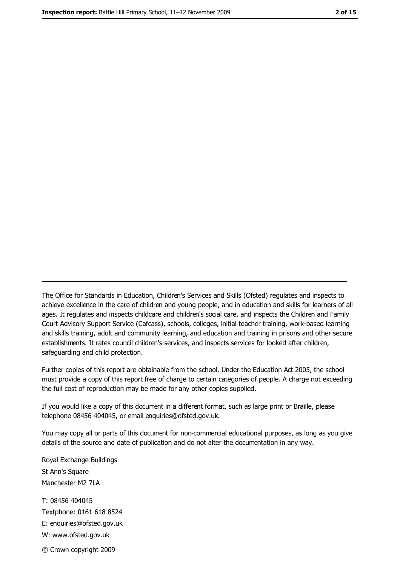The Office for Standards in Education, Children's Services and Skills (Ofsted) regulates and inspects to achieve excellence in the care of children and young people, and in education and skills for learners of all ages. It regulates and inspects childcare and children's social care, and inspects the Children and Family Court Advisory Support Service (Cafcass), schools, colleges, initial teacher training, work-based learning and skills training, adult and community learning, and education and training in prisons and other secure establishments. It rates council children's services, and inspects services for looked after children, safeguarding and child protection.

Further copies of this report are obtainable from the school. Under the Education Act 2005, the school must provide a copy of this report free of charge to certain categories of people. A charge not exceeding the full cost of reproduction may be made for any other copies supplied.

If you would like a copy of this document in a different format, such as large print or Braille, please telephone 08456 404045, or email enquiries@ofsted.gov.uk.

You may copy all or parts of this document for non-commercial educational purposes, as long as you give details of the source and date of publication and do not alter the documentation in any way.

Royal Exchange Buildings St Ann's Square Manchester M2 7LA T: 08456 404045 Textphone: 0161 618 8524 E: enquiries@ofsted.gov.uk W: www.ofsted.gov.uk © Crown copyright 2009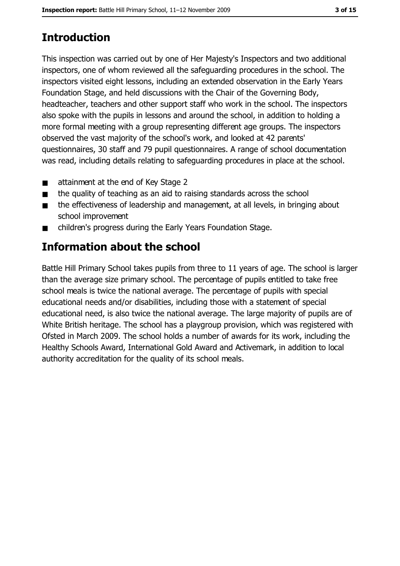# **Introduction**

This inspection was carried out by one of Her Majesty's Inspectors and two additional inspectors, one of whom reviewed all the safeguarding procedures in the school. The inspectors visited eight lessons, including an extended observation in the Early Years Foundation Stage, and held discussions with the Chair of the Governing Body, headteacher, teachers and other support staff who work in the school. The inspectors also spoke with the pupils in lessons and around the school, in addition to holding a more formal meeting with a group representing different age groups. The inspectors observed the vast majority of the school's work, and looked at 42 parents' questionnaires, 30 staff and 79 pupil questionnaires. A range of school documentation was read, including details relating to safeguarding procedures in place at the school.

- attainment at the end of Key Stage 2  $\blacksquare$
- $\blacksquare$ the quality of teaching as an aid to raising standards across the school
- the effectiveness of leadership and management, at all levels, in bringing about  $\blacksquare$ school improvement
- children's progress during the Early Years Foundation Stage.  $\blacksquare$

# Information about the school

Battle Hill Primary School takes pupils from three to 11 years of age. The school is larger than the average size primary school. The percentage of pupils entitled to take free school meals is twice the national average. The percentage of pupils with special educational needs and/or disabilities, including those with a statement of special educational need, is also twice the national average. The large majority of pupils are of White British heritage. The school has a playgroup provision, which was registered with Ofsted in March 2009. The school holds a number of awards for its work, including the Healthy Schools Award, International Gold Award and Activemark, in addition to local authority accreditation for the quality of its school meals.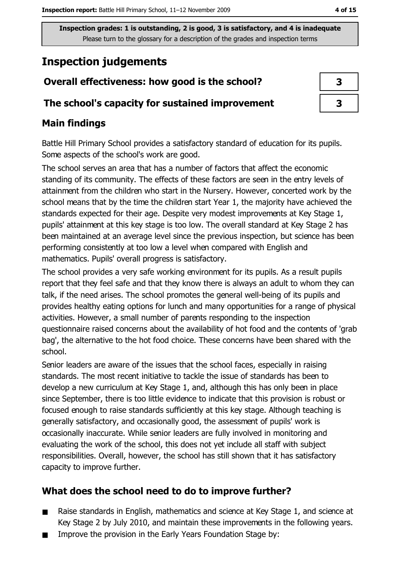# **Inspection judgements**

# Overall effectiveness: how good is the school?

### The school's capacity for sustained improvement

# **Main findings**

Battle Hill Primary School provides a satisfactory standard of education for its pupils. Some aspects of the school's work are good.

The school serves an area that has a number of factors that affect the economic standing of its community. The effects of these factors are seen in the entry levels of attainment from the children who start in the Nursery. However, concerted work by the school means that by the time the children start Year 1, the majority have achieved the standards expected for their age. Despite very modest improvements at Key Stage 1, pupils' attainment at this key stage is too low. The overall standard at Key Stage 2 has been maintained at an average level since the previous inspection, but science has been performing consistently at too low a level when compared with English and mathematics. Pupils' overall progress is satisfactory.

The school provides a very safe working environment for its pupils. As a result pupils report that they feel safe and that they know there is always an adult to whom they can talk, if the need arises. The school promotes the general well-being of its pupils and provides healthy eating options for lunch and many opportunities for a range of physical activities. However, a small number of parents responding to the inspection questionnaire raised concerns about the availability of hot food and the contents of 'grab bag', the alternative to the hot food choice. These concerns have been shared with the school.

Senior leaders are aware of the issues that the school faces, especially in raising standards. The most recent initiative to tackle the issue of standards has been to develop a new curriculum at Key Stage 1, and, although this has only been in place since September, there is too little evidence to indicate that this provision is robust or focused enough to raise standards sufficiently at this key stage. Although teaching is generally satisfactory, and occasionally good, the assessment of pupils' work is occasionally inaccurate. While senior leaders are fully involved in monitoring and evaluating the work of the school, this does not yet include all staff with subject responsibilities. Overall, however, the school has still shown that it has satisfactory capacity to improve further.

# What does the school need to do to improve further?

- Raise standards in English, mathematics and science at Key Stage 1, and science at  $\blacksquare$ Key Stage 2 by July 2010, and maintain these improvements in the following years.
- Improve the provision in the Early Years Foundation Stage by:

| 3 |  |
|---|--|
| 3 |  |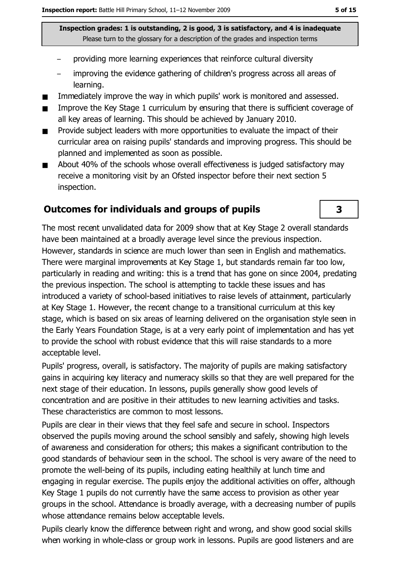- providing more learning experiences that reinforce cultural diversity
- improving the evidence gathering of children's progress across all areas of learning.
- Immediately improve the way in which pupils' work is monitored and assessed.  $\blacksquare$
- Improve the Key Stage 1 curriculum by ensuring that there is sufficient coverage of  $\blacksquare$ all key areas of learning. This should be achieved by January 2010.
- Provide subject leaders with more opportunities to evaluate the impact of their  $\blacksquare$ curricular area on raising pupils' standards and improving progress. This should be planned and implemented as soon as possible.
- About 40% of the schools whose overall effectiveness is judged satisfactory may  $\blacksquare$ receive a monitoring visit by an Ofsted inspector before their next section 5 inspection.

### **Outcomes for individuals and groups of pupils**

The most recent unvalidated data for 2009 show that at Key Stage 2 overall standards have been maintained at a broadly average level since the previous inspection. However, standards in science are much lower than seen in English and mathematics. There were marginal improvements at Key Stage 1, but standards remain far too low, particularly in reading and writing: this is a trend that has gone on since 2004, predating the previous inspection. The school is attempting to tackle these issues and has introduced a variety of school-based initiatives to raise levels of attainment, particularly at Key Stage 1. However, the recent change to a transitional curriculum at this key stage, which is based on six areas of learning delivered on the organisation style seen in the Early Years Foundation Stage, is at a very early point of implementation and has yet to provide the school with robust evidence that this will raise standards to a more acceptable level.

Pupils' progress, overall, is satisfactory. The majority of pupils are making satisfactory gains in acquiring key literacy and numeracy skills so that they are well prepared for the next stage of their education. In lessons, pupils generally show good levels of concentration and are positive in their attitudes to new learning activities and tasks. These characteristics are common to most lessons.

Pupils are clear in their views that they feel safe and secure in school. Inspectors observed the pupils moving around the school sensibly and safely, showing high levels of awareness and consideration for others; this makes a significant contribution to the good standards of behaviour seen in the school. The school is very aware of the need to promote the well-being of its pupils, including eating healthily at lunch time and engaging in regular exercise. The pupils enjoy the additional activities on offer, although Key Stage 1 pupils do not currently have the same access to provision as other year groups in the school. Attendance is broadly average, with a decreasing number of pupils whose attendance remains below acceptable levels.

Pupils clearly know the difference between right and wrong, and show good social skills when working in whole-class or group work in lessons. Pupils are good listeners and are

 $\overline{\mathbf{3}}$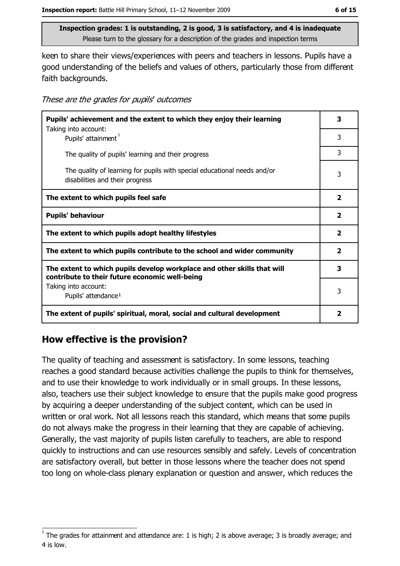keen to share their views/experiences with peers and teachers in lessons. Pupils have a good understanding of the beliefs and values of others, particularly those from different faith backgrounds.

These are the grades for pupils' outcomes

| Pupils' achievement and the extent to which they enjoy their learning                                                     |                         |
|---------------------------------------------------------------------------------------------------------------------------|-------------------------|
| Taking into account:<br>Pupils' attainment <sup>1</sup>                                                                   | 3                       |
| The quality of pupils' learning and their progress                                                                        | 3                       |
| The quality of learning for pupils with special educational needs and/or<br>disabilities and their progress               | 3                       |
| The extent to which pupils feel safe                                                                                      |                         |
| <b>Pupils' behaviour</b>                                                                                                  | $\mathbf{2}$            |
| The extent to which pupils adopt healthy lifestyles                                                                       | $\overline{\mathbf{2}}$ |
| The extent to which pupils contribute to the school and wider community                                                   |                         |
| The extent to which pupils develop workplace and other skills that will<br>contribute to their future economic well-being |                         |
| Taking into account:<br>Pupils' attendance <sup>1</sup>                                                                   | 3                       |
| The extent of pupils' spiritual, moral, social and cultural development                                                   | $\mathbf{2}$            |

# How effective is the provision?

The quality of teaching and assessment is satisfactory. In some lessons, teaching reaches a good standard because activities challenge the pupils to think for themselves, and to use their knowledge to work individually or in small groups. In these lessons, also, teachers use their subject knowledge to ensure that the pupils make good progress by acquiring a deeper understanding of the subject content, which can be used in written or oral work. Not all lessons reach this standard, which means that some pupils do not always make the progress in their learning that they are capable of achieving. Generally, the vast majority of pupils listen carefully to teachers, are able to respond quickly to instructions and can use resources sensibly and safely. Levels of concentration are satisfactory overall, but better in those lessons where the teacher does not spend too long on whole-class plenary explanation or question and answer, which reduces the

The grades for attainment and attendance are: 1 is high; 2 is above average; 3 is broadly average; and 4 is low.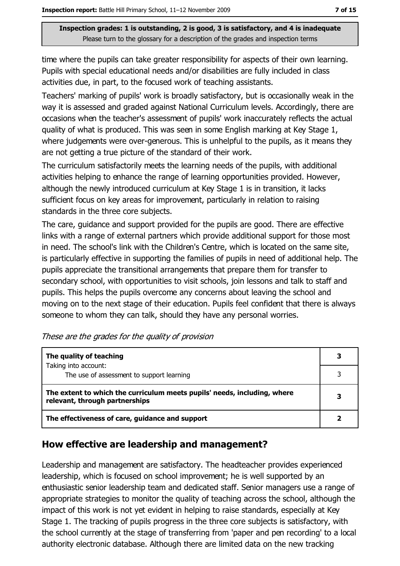time where the pupils can take greater responsibility for aspects of their own learning. Pupils with special educational needs and/or disabilities are fully included in class activities due, in part, to the focused work of teaching assistants.

Teachers' marking of pupils' work is broadly satisfactory, but is occasionally weak in the way it is assessed and graded against National Curriculum levels. Accordingly, there are occasions when the teacher's assessment of pupils' work inaccurately reflects the actual quality of what is produced. This was seen in some English marking at Key Stage 1, where judgements were over-generous. This is unhelpful to the pupils, as it means they are not getting a true picture of the standard of their work.

The curriculum satisfactorily meets the learning needs of the pupils, with additional activities helping to enhance the range of learning opportunities provided. However, although the newly introduced curriculum at Key Stage 1 is in transition, it lacks sufficient focus on key areas for improvement, particularly in relation to raising standards in the three core subjects.

The care, quidance and support provided for the pupils are good. There are effective links with a range of external partners which provide additional support for those most in need. The school's link with the Children's Centre, which is located on the same site, is particularly effective in supporting the families of pupils in need of additional help. The pupils appreciate the transitional arrangements that prepare them for transfer to secondary school, with opportunities to visit schools, join lessons and talk to staff and pupils. This helps the pupils overcome any concerns about leaving the school and moving on to the next stage of their education. Pupils feel confident that there is always someone to whom they can talk, should they have any personal worries.

| The quality of teaching                                                                                    |   |
|------------------------------------------------------------------------------------------------------------|---|
| Taking into account:<br>The use of assessment to support learning                                          |   |
| The extent to which the curriculum meets pupils' needs, including, where<br>relevant, through partnerships | 3 |
| The effectiveness of care, guidance and support                                                            |   |

|  | These are the grades for the quality of provision |  |  |  |  |
|--|---------------------------------------------------|--|--|--|--|
|--|---------------------------------------------------|--|--|--|--|

### How effective are leadership and management?

Leadership and management are satisfactory. The headteacher provides experienced leadership, which is focused on school improvement; he is well supported by an enthusiastic senior leadership team and dedicated staff. Senior managers use a range of appropriate strategies to monitor the quality of teaching across the school, although the impact of this work is not yet evident in helping to raise standards, especially at Key Stage 1. The tracking of pupils progress in the three core subjects is satisfactory, with the school currently at the stage of transferring from 'paper and pen recording' to a local authority electronic database. Although there are limited data on the new tracking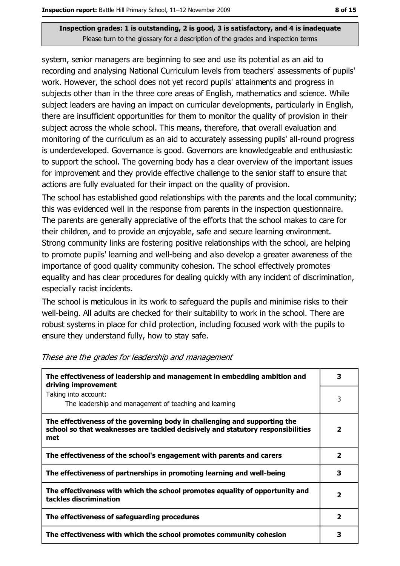system, senior managers are beginning to see and use its potential as an aid to recording and analysing National Curriculum levels from teachers' assessments of pupils' work. However, the school does not yet record pupils' attainments and progress in subjects other than in the three core areas of English, mathematics and science. While subject leaders are having an impact on curricular developments, particularly in English, there are insufficient opportunities for them to monitor the quality of provision in their subject across the whole school. This means, therefore, that overall evaluation and monitoring of the curriculum as an aid to accurately assessing pupils' all-round progress is underdeveloped. Governance is good. Governors are knowledgeable and enthusiastic to support the school. The governing body has a clear overview of the important issues for improvement and they provide effective challenge to the senior staff to ensure that actions are fully evaluated for their impact on the quality of provision.

The school has established good relationships with the parents and the local community; this was evidenced well in the response from parents in the inspection questionnaire. The parents are generally appreciative of the efforts that the school makes to care for their children, and to provide an enjoyable, safe and secure learning environment. Strong community links are fostering positive relationships with the school, are helping to promote pupils' learning and well-being and also develop a greater awareness of the importance of good quality community cohesion. The school effectively promotes equality and has clear procedures for dealing quickly with any incident of discrimination, especially racist incidents.

The school is meticulous in its work to safeguard the pupils and minimise risks to their well-being. All adults are checked for their suitability to work in the school. There are robust systems in place for child protection, including focused work with the pupils to ensure they understand fully, how to stay safe.

| The effectiveness of leadership and management in embedding ambition and<br>driving improvement                                                                     | 3            |
|---------------------------------------------------------------------------------------------------------------------------------------------------------------------|--------------|
| Taking into account:<br>The leadership and management of teaching and learning                                                                                      | 3            |
| The effectiveness of the governing body in challenging and supporting the<br>school so that weaknesses are tackled decisively and statutory responsibilities<br>met | 7            |
| The effectiveness of the school's engagement with parents and carers                                                                                                | 2            |
| The effectiveness of partnerships in promoting learning and well-being                                                                                              | 3            |
| The effectiveness with which the school promotes equality of opportunity and<br>tackles discrimination                                                              | $\mathbf{2}$ |
| The effectiveness of safeguarding procedures                                                                                                                        | 2            |
| The effectiveness with which the school promotes community cohesion                                                                                                 | 3            |

#### These are the grades for leadership and management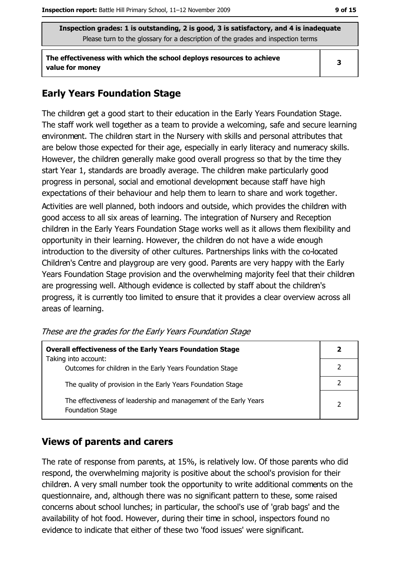The effectiveness with which the school deploys resources to achieve value for money

### **Early Years Foundation Stage**

The children get a good start to their education in the Early Years Foundation Stage. The staff work well together as a team to provide a welcoming, safe and secure learning environment. The children start in the Nursery with skills and personal attributes that are below those expected for their age, especially in early literacy and numeracy skills. However, the children generally make good overall progress so that by the time they start Year 1, standards are broadly average. The children make particularly good progress in personal, social and emotional development because staff have high expectations of their behaviour and help them to learn to share and work together. Activities are well planned, both indoors and outside, which provides the children with good access to all six areas of learning. The integration of Nursery and Reception children in the Early Years Foundation Stage works well as it allows them flexibility and opportunity in their learning. However, the children do not have a wide enough introduction to the diversity of other cultures. Partnerships links with the co-located Children's Centre and playgroup are very good. Parents are very happy with the Early Years Foundation Stage provision and the overwhelming majority feel that their children are progressing well. Although evidence is collected by staff about the children's progress, it is currently too limited to ensure that it provides a clear overview across all areas of learning.

These are the grades for the Early Years Foundation Stage

| <b>Overall effectiveness of the Early Years Foundation Stage</b><br>Taking into account:     | 2 |
|----------------------------------------------------------------------------------------------|---|
| Outcomes for children in the Early Years Foundation Stage                                    |   |
| The quality of provision in the Early Years Foundation Stage                                 |   |
| The effectiveness of leadership and management of the Early Years<br><b>Foundation Stage</b> | 2 |

### **Views of parents and carers**

The rate of response from parents, at 15%, is relatively low. Of those parents who did respond, the overwhelming majority is positive about the school's provision for their children. A very small number took the opportunity to write additional comments on the questionnaire, and, although there was no significant pattern to these, some raised concerns about school lunches; in particular, the school's use of 'grab bags' and the availability of hot food. However, during their time in school, inspectors found no evidence to indicate that either of these two 'food issues' were significant.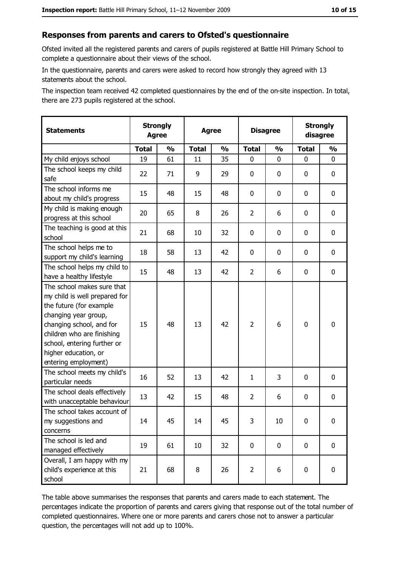#### Responses from parents and carers to Ofsted's questionnaire

Ofsted invited all the registered parents and carers of pupils registered at Battle Hill Primary School to complete a questionnaire about their views of the school.

In the questionnaire, parents and carers were asked to record how strongly they agreed with 13 statements about the school.

The inspection team received 42 completed questionnaires by the end of the on-site inspection. In total, there are 273 pupils registered at the school.

| <b>Statements</b>                                                                                                                                                                                                                                       | <b>Strongly</b><br><b>Agree</b> |               |              | <b>Strongly</b><br><b>Disagree</b><br><b>Agree</b><br>disagree |                |               |              |               |
|---------------------------------------------------------------------------------------------------------------------------------------------------------------------------------------------------------------------------------------------------------|---------------------------------|---------------|--------------|----------------------------------------------------------------|----------------|---------------|--------------|---------------|
|                                                                                                                                                                                                                                                         | <b>Total</b>                    | $\frac{1}{2}$ | <b>Total</b> | $\frac{0}{0}$                                                  | <b>Total</b>   | $\frac{0}{0}$ | <b>Total</b> | $\frac{1}{2}$ |
| My child enjoys school                                                                                                                                                                                                                                  | 19                              | 61            | 11           | 35                                                             | $\mathbf 0$    | 0             | 0            | $\mathbf 0$   |
| The school keeps my child<br>safe                                                                                                                                                                                                                       | 22                              | 71            | 9            | 29                                                             | $\mathbf 0$    | 0             | 0            | $\mathbf 0$   |
| The school informs me<br>about my child's progress                                                                                                                                                                                                      | 15                              | 48            | 15           | 48                                                             | 0              | 0             | $\mathbf{0}$ | 0             |
| My child is making enough<br>progress at this school                                                                                                                                                                                                    | 20                              | 65            | 8            | 26                                                             | $\overline{2}$ | 6             | 0            | 0             |
| The teaching is good at this<br>school                                                                                                                                                                                                                  | 21                              | 68            | 10           | 32                                                             | 0              | 0             | 0            | 0             |
| The school helps me to<br>support my child's learning                                                                                                                                                                                                   | 18                              | 58            | 13           | 42                                                             | $\mathbf 0$    | 0             | 0            | $\mathbf 0$   |
| The school helps my child to<br>have a healthy lifestyle                                                                                                                                                                                                | 15                              | 48            | 13           | 42                                                             | $\overline{2}$ | 6             | 0            | $\mathbf 0$   |
| The school makes sure that<br>my child is well prepared for<br>the future (for example<br>changing year group,<br>changing school, and for<br>children who are finishing<br>school, entering further or<br>higher education, or<br>entering employment) | 15                              | 48            | 13           | 42                                                             | $\overline{2}$ | 6             | $\mathbf 0$  | $\mathbf 0$   |
| The school meets my child's<br>particular needs                                                                                                                                                                                                         | 16                              | 52            | 13           | 42                                                             | $\mathbf{1}$   | 3             | $\Omega$     | $\mathbf 0$   |
| The school deals effectively<br>with unacceptable behaviour                                                                                                                                                                                             | 13                              | 42            | 15           | 48                                                             | $\overline{2}$ | 6             | 0            | $\mathbf 0$   |
| The school takes account of<br>my suggestions and<br>concerns                                                                                                                                                                                           | 14                              | 45            | 14           | 45                                                             | 3              | 10            | 0            | 0             |
| The school is led and<br>managed effectively                                                                                                                                                                                                            | 19                              | 61            | 10           | 32                                                             | $\mathbf 0$    | $\mathbf 0$   | $\mathbf 0$  | $\mathbf 0$   |
| Overall, I am happy with my<br>child's experience at this<br>school                                                                                                                                                                                     | 21                              | 68            | 8            | 26                                                             | $\overline{2}$ | 6             | 0            | $\mathbf 0$   |

The table above summarises the responses that parents and carers made to each statement. The percentages indicate the proportion of parents and carers giving that response out of the total number of completed questionnaires. Where one or more parents and carers chose not to answer a particular question, the percentages will not add up to 100%.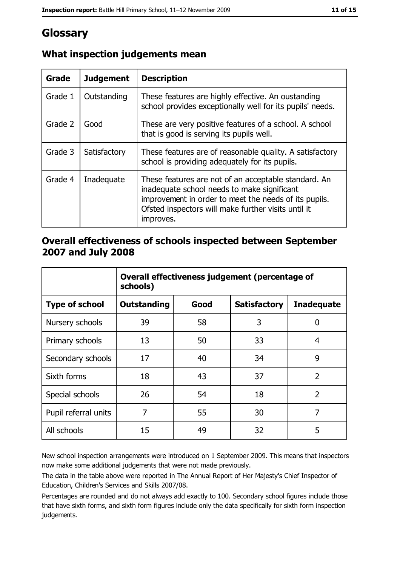# Glossary

| Grade   | <b>Judgement</b> | <b>Description</b>                                                                                                                                                                                                               |
|---------|------------------|----------------------------------------------------------------------------------------------------------------------------------------------------------------------------------------------------------------------------------|
| Grade 1 | Outstanding      | These features are highly effective. An oustanding<br>school provides exceptionally well for its pupils' needs.                                                                                                                  |
| Grade 2 | Good             | These are very positive features of a school. A school<br>that is good is serving its pupils well.                                                                                                                               |
| Grade 3 | Satisfactory     | These features are of reasonable quality. A satisfactory<br>school is providing adequately for its pupils.                                                                                                                       |
| Grade 4 | Inadequate       | These features are not of an acceptable standard. An<br>inadequate school needs to make significant<br>improvement in order to meet the needs of its pupils.<br>Ofsted inspectors will make further visits until it<br>improves. |

# What inspection judgements mean

## Overall effectiveness of schools inspected between September 2007 and July 2008

|                       | Overall effectiveness judgement (percentage of<br>schools) |      |                     |                   |
|-----------------------|------------------------------------------------------------|------|---------------------|-------------------|
| <b>Type of school</b> | <b>Outstanding</b>                                         | Good | <b>Satisfactory</b> | <b>Inadequate</b> |
| Nursery schools       | 39                                                         | 58   | 3                   | 0                 |
| Primary schools       | 13                                                         | 50   | 33                  | 4                 |
| Secondary schools     | 17                                                         | 40   | 34                  | 9                 |
| Sixth forms           | 18                                                         | 43   | 37                  | $\overline{2}$    |
| Special schools       | 26                                                         | 54   | 18                  | $\overline{2}$    |
| Pupil referral units  | 7                                                          | 55   | 30                  | 7                 |
| All schools           | 15                                                         | 49   | 32                  | 5                 |

New school inspection arrangements were introduced on 1 September 2009. This means that inspectors now make some additional judgements that were not made previously.

The data in the table above were reported in The Annual Report of Her Majesty's Chief Inspector of Education, Children's Services and Skills 2007/08.

Percentages are rounded and do not always add exactly to 100. Secondary school figures include those that have sixth forms, and sixth form figures include only the data specifically for sixth form inspection judgements.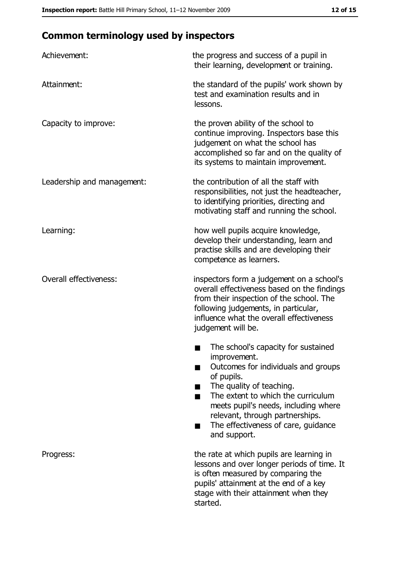# **Common terminology used by inspectors**

| Achievement:                  | the progress and success of a pupil in<br>their learning, development or training.                                                                                                                                                                                                                           |
|-------------------------------|--------------------------------------------------------------------------------------------------------------------------------------------------------------------------------------------------------------------------------------------------------------------------------------------------------------|
| Attainment:                   | the standard of the pupils' work shown by<br>test and examination results and in<br>lessons.                                                                                                                                                                                                                 |
| Capacity to improve:          | the proven ability of the school to<br>continue improving. Inspectors base this<br>judgement on what the school has<br>accomplished so far and on the quality of<br>its systems to maintain improvement.                                                                                                     |
| Leadership and management:    | the contribution of all the staff with<br>responsibilities, not just the headteacher,<br>to identifying priorities, directing and<br>motivating staff and running the school.                                                                                                                                |
| Learning:                     | how well pupils acquire knowledge,<br>develop their understanding, learn and<br>practise skills and are developing their<br>competence as learners.                                                                                                                                                          |
| <b>Overall effectiveness:</b> | inspectors form a judgement on a school's<br>overall effectiveness based on the findings<br>from their inspection of the school. The<br>following judgements, in particular,<br>influence what the overall effectiveness<br>judgement will be.                                                               |
|                               | The school's capacity for sustained<br>improvement.<br>Outcomes for individuals and groups<br>of pupils.<br>The quality of teaching.<br>The extent to which the curriculum<br>meets pupil's needs, including where<br>relevant, through partnerships.<br>The effectiveness of care, guidance<br>and support. |
| Progress:                     | the rate at which pupils are learning in<br>lessons and over longer periods of time. It<br>is often measured by comparing the<br>pupils' attainment at the end of a key<br>stage with their attainment when they<br>started.                                                                                 |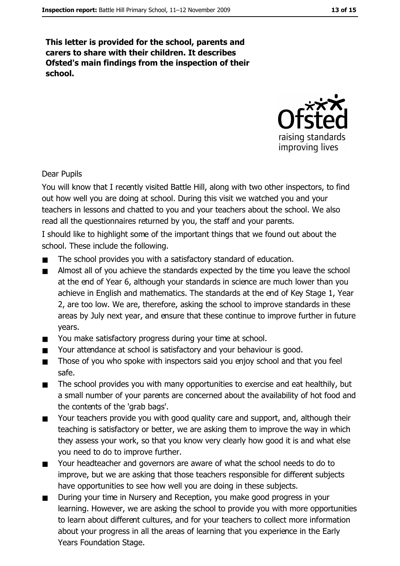This letter is provided for the school, parents and carers to share with their children. It describes Ofsted's main findings from the inspection of their school.



#### **Dear Pupils**

You will know that I recently visited Battle Hill, along with two other inspectors, to find out how well you are doing at school. During this visit we watched you and your teachers in lessons and chatted to you and your teachers about the school. We also read all the questionnaires returned by you, the staff and your parents.

I should like to highlight some of the important things that we found out about the school. These include the following.

- The school provides you with a satisfactory standard of education.  $\blacksquare$
- Almost all of you achieve the standards expected by the time you leave the school  $\blacksquare$ at the end of Year 6, although your standards in science are much lower than you achieve in English and mathematics. The standards at the end of Key Stage 1, Year 2, are too low. We are, therefore, asking the school to improve standards in these areas by July next year, and ensure that these continue to improve further in future years.
- You make satisfactory progress during your time at school.  $\blacksquare$
- Your attendance at school is satisfactory and your behaviour is good.  $\blacksquare$
- Those of you who spoke with inspectors said you enjoy school and that you feel  $\blacksquare$ safe.
- The school provides you with many opportunities to exercise and eat healthily, but  $\blacksquare$ a small number of your parents are concerned about the availability of hot food and the contents of the 'grab bags'.
- Your teachers provide you with good quality care and support, and, although their  $\blacksquare$ teaching is satisfactory or better, we are asking them to improve the way in which they assess your work, so that you know very clearly how good it is and what else you need to do to improve further.
- Your headteacher and governors are aware of what the school needs to do to  $\blacksquare$ improve, but we are asking that those teachers responsible for different subjects have opportunities to see how well you are doing in these subjects.
- During your time in Nursery and Reception, you make good progress in your  $\blacksquare$ learning. However, we are asking the school to provide you with more opportunities to learn about different cultures, and for your teachers to collect more information about your progress in all the areas of learning that you experience in the Early Years Foundation Stage.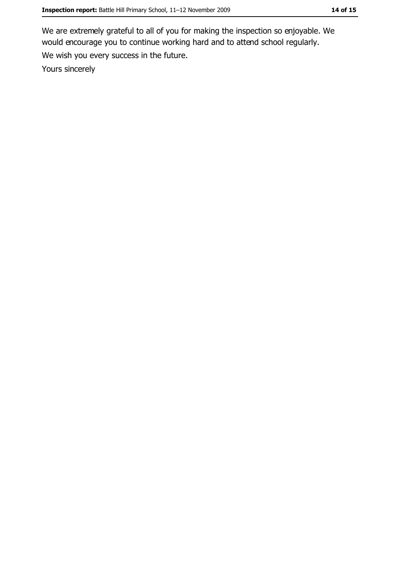We are extremely grateful to all of you for making the inspection so enjoyable. We would encourage you to continue working hard and to attend school regularly. We wish you every success in the future. Yours sincerely